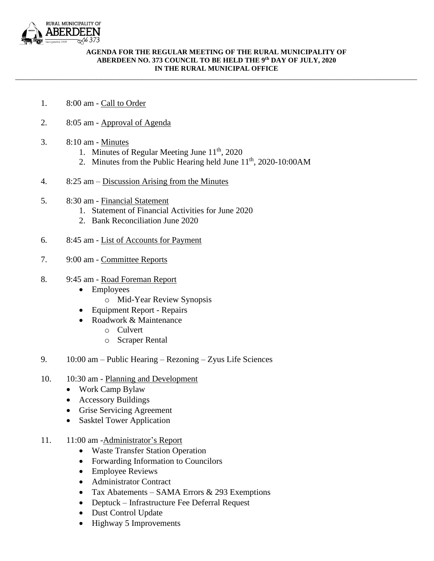

## **AGENDA FOR THE REGULAR MEETING OF THE RURAL MUNICIPALITY OF ABERDEEN NO. 373 COUNCIL TO BE HELD THE 9 th DAY OF JULY, 2020 IN THE RURAL MUNICIPAL OFFICE**

\_\_\_\_\_\_\_\_\_\_\_\_\_\_\_\_\_\_\_\_\_\_\_\_\_\_\_\_\_\_\_\_\_\_\_\_\_\_\_\_\_\_\_\_\_\_\_\_\_\_\_\_\_\_\_\_\_\_\_\_\_\_\_\_\_\_\_\_\_\_\_\_\_\_\_\_\_\_\_\_\_\_\_\_\_\_\_\_\_\_\_\_\_\_\_\_\_\_\_\_\_\_\_\_\_\_\_\_

- 1. 8:00 am Call to Order
- 2. 8:05 am Approval of Agenda
- 3. 8:10 am Minutes
	- 1. Minutes of Regular Meeting June 11<sup>th</sup>, 2020
	- 2. Minutes from the Public Hearing held June  $11<sup>th</sup>$ , 2020-10:00AM
- 4. 8:25 am Discussion Arising from the Minutes
- 5. 8:30 am Financial Statement
	- 1. Statement of Financial Activities for June 2020
	- 2. Bank Reconciliation June 2020
- 6. 8:45 am List of Accounts for Payment
- 7. 9:00 am Committee Reports
- 8. 9:45 am Road Foreman Report
	- Employees
		- o Mid-Year Review Synopsis
	- Equipment Report Repairs
	- Roadwork & Maintenance
		- o Culvert
		- o Scraper Rental
- 9. 10:00 am Public Hearing Rezoning Zyus Life Sciences
- 10. 10:30 am Planning and Development
	- Work Camp Bylaw
	- Accessory Buildings
	- Grise Servicing Agreement
	- Sasktel Tower Application
- 11. 11:00 am -Administrator's Report
	- Waste Transfer Station Operation
	- Forwarding Information to Councilors
	- Employee Reviews
	- Administrator Contract
	- Tax Abatements SAMA Errors & 293 Exemptions
	- Deptuck Infrastructure Fee Deferral Request
	- Dust Control Update
	- Highway 5 Improvements